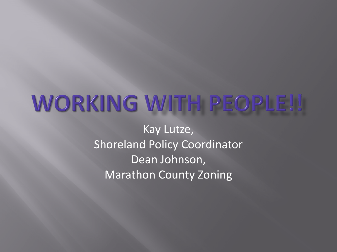## WORKING WITH PEOPLE!!

Kay Lutze, Shoreland Policy Coordinator Dean Johnson, Marathon County Zoning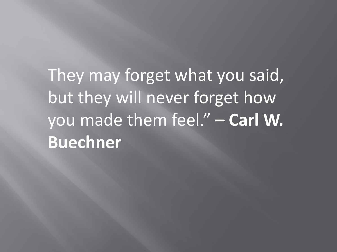They may forget what you said, but they will never forget how you made them feel." **– Carl W. Buechner**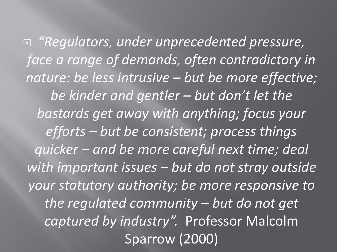*"Regulators, under unprecedented pressure, face a range of demands, often contradictory in nature: be less intrusive – but be more effective; be kinder and gentler – but don't let the bastards get away with anything; focus your efforts – but be consistent; process things quicker – and be more careful next time; deal with important issues – but do not stray outside your statutory authority; be more responsive to the regulated community – but do not get captured by industry".* Professor Malcolm Sparrow (2000)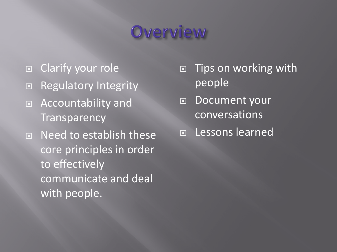### Overview

- □ Clarify your role
- □ Regulatory Integrity
- □ Accountability and **Transparency**
- □ Need to establish these core principles in order to effectively communicate and deal with people.
- □ Tips on working with people
- □ Document your conversations
- Lessons learned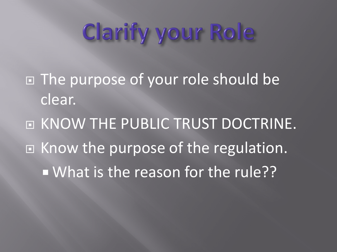## Clarify your Role

 $\blacksquare$  The purpose of your role should be clear.

**E KNOW THE PUBLIC TRUST DOCTRINE.** □ Know the purpose of the regulation. What is the reason for the rule??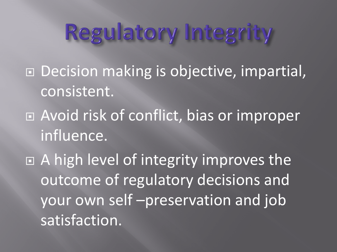## Regulatory Integrity

- □ Decision making is objective, impartial, consistent.
- Avoid risk of conflict, bias or improper influence.

□ A high level of integrity improves the outcome of regulatory decisions and your own self –preservation and job satisfaction.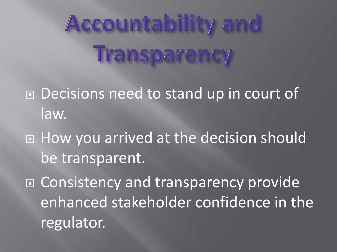# Accountability and Transparency

- Decisions need to stand up in court of law.
- How you arrived at the decision should be transparent.

□ Consistency and transparency provide enhanced stakeholder confidence in the regulator.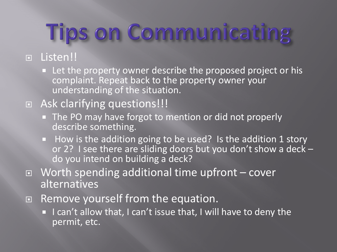# **Tips on Communicating**

#### Listen!!

**EXTER** Let the property owner describe the proposed project or his complaint. Repeat back to the property owner your understanding of the situation.

#### □ Ask clarifying questions!!!

- The PO may have forgot to mention or did not properly describe something.
- How is the addition going to be used? Is the addition 1 story or 2? I see there are sliding doors but you don't show a deck -<br>do you intend on building a deck?
- Worth spending additional time upfront cover alternatives
- □ Remove yourself from the equation.
	- I can't allow that, I can't issue that, I will have to deny the permit, etc.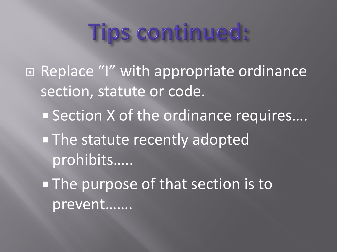## Tips continued:

□ Replace "I" with appropriate ordinance section, statute or code. ■ Section X of the ordinance requires.... **The statute recently adopted** prohibits….. **The purpose of that section is to** prevent…….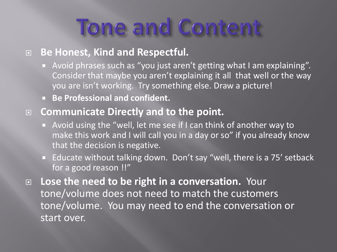## Tone and Content

#### **Be Honest, Kind and Respectful.**

- Avoid phrases such as "you just aren't getting what I am explaining". Consider that maybe you aren't explaining it all that well or the way you are isn't working. Try something else. Draw a picture!
- **Be Professional and confident.**

#### **Communicate Directly and to the point.**

- Avoid using the "well, let me see if I can think of another way to make this work and I will call you in a day or so" if you already know that the decision is negative.
- Educate without talking down. Don't say "well, there is a 75' setback for a good reason !!"

 **Lose the need to be right in a conversation.** Your tone/volume does not need to match the customers tone/volume. You may need to end the conversation or start over.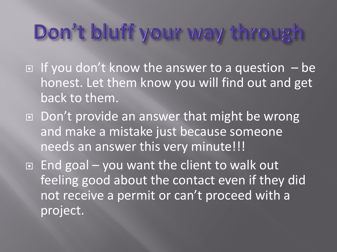### Don't bluff your way through

- $\Box$  If you don't know the answer to a question  $-\mathsf{be}$ honest. Let them know you will find out and get back to them.
- □ Don't provide an answer that might be wrong and make a mistake just because someone needs an answer this very minute!!!

 $\Box$  End goal – you want the client to walk out feeling good about the contact even if they did not receive a permit or can't proceed with a project.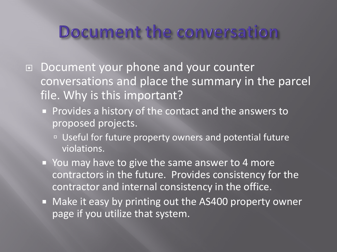#### Document the conversation

- □ Document your phone and your counter conversations and place the summary in the parcel file. Why is this important?
	- **Provides a history of the contact and the answers to** proposed projects.
		- Diseful for future property owners and potential future violations.
	- You may have to give the same answer to 4 more contractors in the future. Provides consistency for the contractor and internal consistency in the office.
	- **Nake it easy by printing out the AS400 property owner** page if you utilize that system.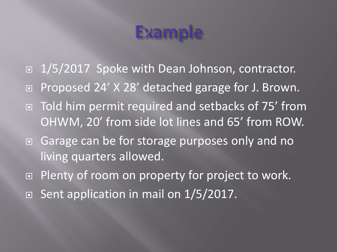### Example

- □ 1/5/2017 Spoke with Dean Johnson, contractor.
- □ Proposed 24' X 28' detached garage for J. Brown.
- Told him permit required and setbacks of 75' from OHWM, 20' from side lot lines and 65' from ROW.
- □ Garage can be for storage purposes only and no living quarters allowed.
- □ Plenty of room on property for project to work.
- $\Box$  Sent application in mail on 1/5/2017.